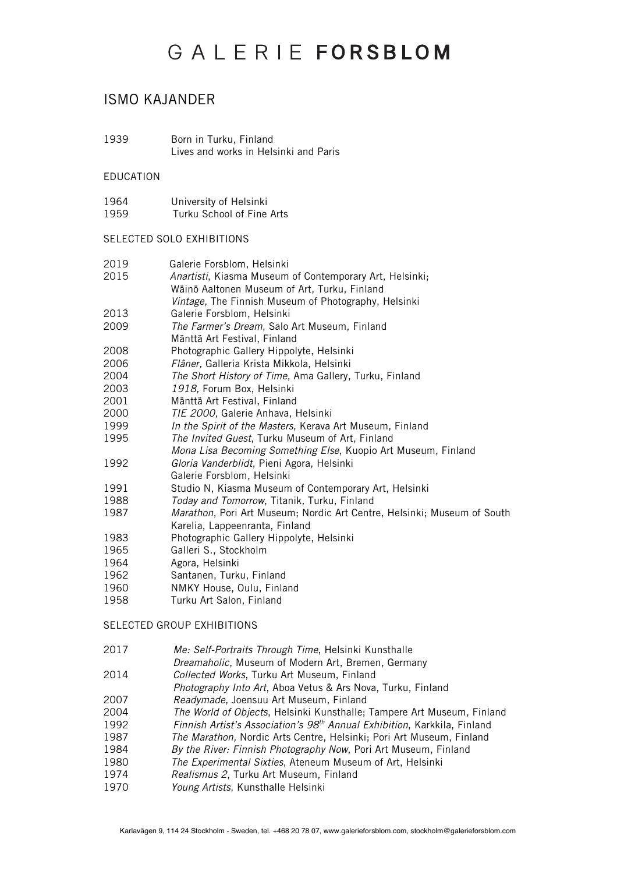## ISMO KAJANDER

1939 Born in Turku, Finland Lives and works in Helsinki and Paris

#### EDUCATION

- 1964 University of Helsinki<br>1959 Turku School of Fine
- Turku School of Fine Arts

### SELECTED SOLO EXHIBITIONS

| 2019 | Galerie Forsblom, Helsinki                                      |
|------|-----------------------------------------------------------------|
| 2015 | <i>Anartisti</i> , Kiasma Museum of Contemporary Art, Helsinki; |
|      | Wäinö Aaltonen Museum of Art, Turku, Finland                    |
|      | <i>Vintage</i> , The Finnish Museum of Photography, Helsinki    |
| 2013 | Galerie Forsblom, Helsinki                                      |
| 2009 | The Farmer's Dream, Salo Art Museum, Finland                    |
|      | Mänttä Art Festival, Finland                                    |
| 2008 | Photographic Gallery Hippolyte, Helsinki                        |
| 2006 | Flâner, Galleria Krista Mikkola, Helsinki                       |
| 2004 | The Short History of Time, Ama Gallery, Turku, Finland          |
| 2003 | 1918, Forum Box, Helsinki                                       |
| 2001 | Mänttä Art Festival, Finland                                    |
| 2000 | TIE 2000, Galerie Anhava, Helsinki                              |
| 1999 | In the Spirit of the Masters, Kerava Art Museum, Finland        |
| 1995 | The Invited Guest, Turku Museum of Art, Finland                 |
|      | Mona Lisa Becoming Something Else, Kuopio Art Museum, Finland   |
|      |                                                                 |

- 1992 *Gloria Vanderblidt*, Pieni Agora, Helsinki
- Galerie Forsblom, Helsinki
- 1991 Studio N, Kiasma Museum of Contemporary Art, Helsinki
- 1988 *Today and Tomorrow*, Titanik, Turku, Finland
- 1987 *Marathon*, Pori Art Museum; Nordic Art Centre, Helsinki; Museum of South Karelia, Lappeenranta, Finland
- 1983 Photographic Gallery Hippolyte, Helsinki
- 1965 Galleri S., Stockholm
- 1964 Agora, Helsinki<br>1962 Santanen Turk
- Santanen, Turku, Finland
- 1960 NMKY House, Oulu, Finland
- 1958 Turku Art Salon, Finland

#### SELECTED GROUP EXHIBITIONS

- 2017 *Me: Self-Portraits Through Time*, Helsinki Kunsthalle
- *Dreamaholic*, Museum of Modern Art, Bremen, Germany<br>2014 Collected Works, Turku Art Museum, Finland
- 2014 *Collected Works*, Turku Art Museum, Finland
- *Photography Into Art*, Aboa Vetus & Ars Nova, Turku, Finland<br>2007 Readymade. Joensuu Art Museum. Finland
- 2007 *Readymade*, Joensuu Art Museum, Finland
- **The World of Objects, Helsinki Kunsthalle; Tampere Art Museum, Finland**
- 1992 *Finnish Artist's Association's 98th Annual Exhibition*, Karkkila, Finland
- 1987 *The Marathon,* Nordic Arts Centre, Helsinki; Pori Art Museum, Finland
- 1984 *By the River: Finnish Photography Now*, Pori Art Museum, Finland
- 1980 *The Experimental Sixties*, Ateneum Museum of Art, Helsinki
- 1974 *Realismus 2*, Turku Art Museum, Finland
- 1970 *Young Artists*, Kunsthalle Helsinki